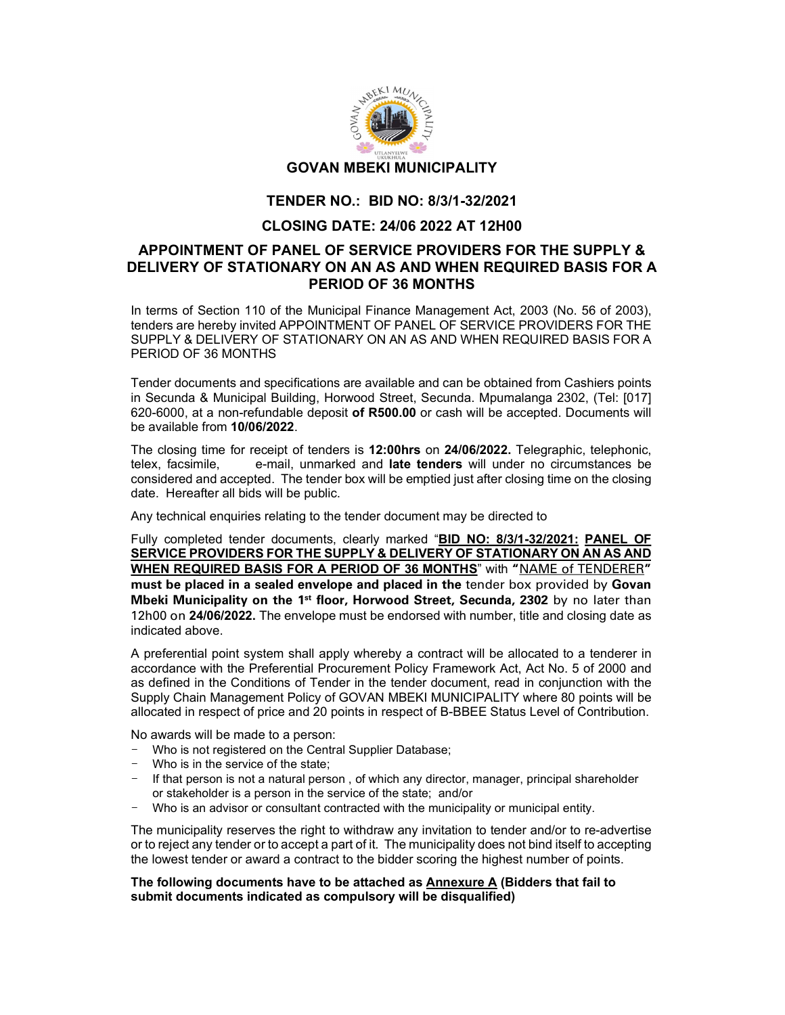

## TENDER NO.: BID NO: 8/3/1-32/2021

## CLOSING DATE: 24/06 2022 AT 12H00

## APPOINTMENT OF PANEL OF SERVICE PROVIDERS FOR THE SUPPLY & DELIVERY OF STATIONARY ON AN AS AND WHEN REQUIRED BASIS FOR A PERIOD OF 36 MONTHS

In terms of Section 110 of the Municipal Finance Management Act, 2003 (No. 56 of 2003), tenders are hereby invited APPOINTMENT OF PANEL OF SERVICE PROVIDERS FOR THE SUPPLY & DELIVERY OF STATIONARY ON AN AS AND WHEN REQUIRED BASIS FOR A PERIOD OF 36 MONTHS

Tender documents and specifications are available and can be obtained from Cashiers points in Secunda & Municipal Building, Horwood Street, Secunda. Mpumalanga 2302, (Tel: [017] 620-6000, at a non-refundable deposit of R500.00 or cash will be accepted. Documents will be available from **10/06/2022**.<br>The closing time for receipt of tenders is **12:00hrs** on **24/06/2022.** Telegraphic, telephonic,

telex, facsimile, e-mail, unmarked and late tenders will under no circumstances be considered and accepted. The tender box will be emptied just after closing time on the closing date. Hereafter all bids will be public.

Any technical enquiries relating to the tender document may be directed to

Fully completed tender documents, clearly marked "BID NO: 8/3/1-32/2021: PANEL OF SERVICE PROVIDERS FOR THE SUPPLY & DELIVERY OF STATIONARY ON AN AS AND WHEN REQUIRED BASIS FOR A PERIOD OF 36 MONTHS" with "NAME of TENDERER" must be placed in a sealed envelope and placed in the tender box provided by Govan Mbeki Municipality on the 1<sup>st</sup> floor, Horwood Street, Secunda, 2302 by no later than 12h00 on 24/06/2022. The envelope must be endorsed with number, title and closing date as indicated above.

A preferential point system shall apply whereby a contract will be allocated to a tenderer in accordance with the Preferential Procurement Policy Framework Act, Act No. 5 of 2000 and as defined in the Conditions of Tender in the tender document, read in conjunction with the Supply Chain Management Policy of GOVAN MBEKI MUNICIPALITY where 80 points will be allocated in respect of price and 20 points in respect of B-BBEE Status Level of Contribution.

No awards will be made to a person:

- Who is not registered on the Central Supplier Database;
- Who is in the service of the state;
- If that person is not a natural person, of which any director, manager, principal shareholder or stakeholder is a person in the service of the state; and/or
- Who is an advisor or consultant contracted with the municipality or municipal entity.

The municipality reserves the right to withdraw any invitation to tender and/or to re-advertise or to reject any tender or to accept a part of it. The municipality does not bind itself to accepting the lowest tender or award a contract to the bidder scoring the highest number of points.

## The following documents have to be attached as **Annexure A (Bidders that fail to** submit documents indicated as compulsory will be disqualified)